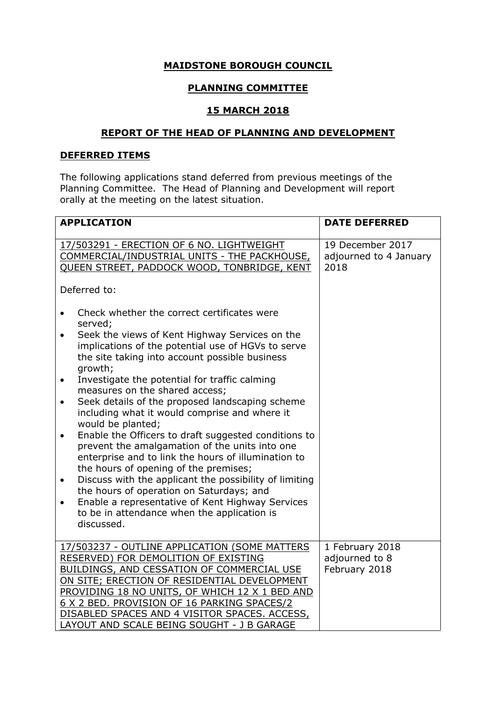## **MAIDSTONE BOROUGH COUNCIL**

# **PLANNING COMMITTEE**

### **15 MARCH 2018**

### **REPORT OF THE HEAD OF PLANNING AND DEVELOPMENT**

### **DEFERRED ITEMS**

The following applications stand deferred from previous meetings of the Planning Committee. The Head of Planning and Development will report orally at the meeting on the latest situation.

| <b>APPLICATION</b>                                                                                                                                                                                                                                                                                                                                                                                                                                                                                                                                                                                                                                                                                                                                                                                                                                                                                                                                                  | <b>DATE DEFERRED</b>                               |
|---------------------------------------------------------------------------------------------------------------------------------------------------------------------------------------------------------------------------------------------------------------------------------------------------------------------------------------------------------------------------------------------------------------------------------------------------------------------------------------------------------------------------------------------------------------------------------------------------------------------------------------------------------------------------------------------------------------------------------------------------------------------------------------------------------------------------------------------------------------------------------------------------------------------------------------------------------------------|----------------------------------------------------|
| 17/503291 - ERECTION OF 6 NO. LIGHTWEIGHT<br>COMMERCIAL/INDUSTRIAL UNITS - THE PACKHOUSE,<br>QUEEN STREET, PADDOCK WOOD, TONBRIDGE, KENT<br>Deferred to:                                                                                                                                                                                                                                                                                                                                                                                                                                                                                                                                                                                                                                                                                                                                                                                                            | 19 December 2017<br>adjourned to 4 January<br>2018 |
| Check whether the correct certificates were<br>$\bullet$<br>served;<br>Seek the views of Kent Highway Services on the<br>$\bullet$<br>implications of the potential use of HGVs to serve<br>the site taking into account possible business<br>growth;<br>Investigate the potential for traffic calming<br>$\bullet$<br>measures on the shared access;<br>Seek details of the proposed landscaping scheme<br>$\bullet$<br>including what it would comprise and where it<br>would be planted;<br>Enable the Officers to draft suggested conditions to<br>$\bullet$<br>prevent the amalgamation of the units into one<br>enterprise and to link the hours of illumination to<br>the hours of opening of the premises;<br>Discuss with the applicant the possibility of limiting<br>$\bullet$<br>the hours of operation on Saturdays; and<br>Enable a representative of Kent Highway Services<br>$\bullet$<br>to be in attendance when the application is<br>discussed. |                                                    |
| 17/503237 - OUTLINE APPLICATION (SOME MATTERS<br>RESERVED) FOR DEMOLITION OF EXISTING<br>BUILDINGS, AND CESSATION OF COMMERCIAL USE<br>ON SITE; ERECTION OF RESIDENTIAL DEVELOPMENT<br>PROVIDING 18 NO UNITS, OF WHICH 12 X 1 BED AND<br>6 X 2 BED. PROVISION OF 16 PARKING SPACES/2<br>DISABLED SPACES AND 4 VISITOR SPACES. ACCESS,<br>LAYOUT AND SCALE BEING SOUGHT - J B GARAGE                                                                                                                                                                                                                                                                                                                                                                                                                                                                                                                                                                                 | 1 February 2018<br>adjourned to 8<br>February 2018 |